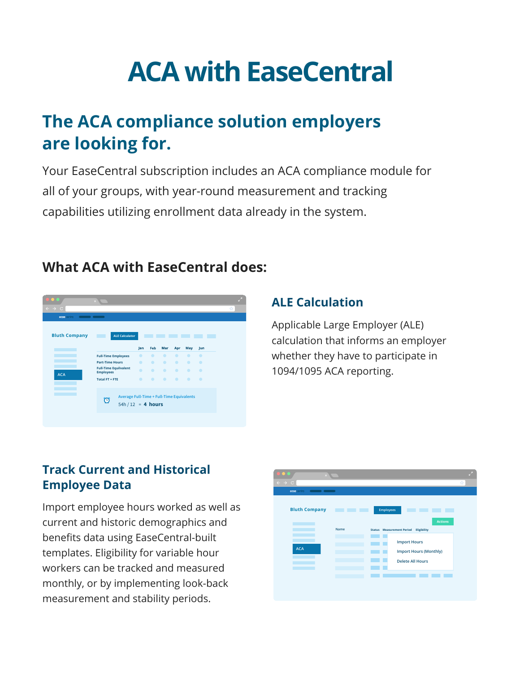# **ACA with EaseCentral**

## **The ACA compliance solution employers are looking for.**

Your EaseCentral subscription includes an ACA compliance module for all of your groups, with year-round measurement and tracking capabilities utilizing enrollment data already in the system.

#### **Bluth Company COLOR ALE Calculator Bank College** Jan Feb Mar Apr May Jun **Full-Time Employees Part-Time Hours Full-Time Equilvalent Employees ACA Total FT + FTE Average Full-Time + Full-Time Equiv**  $\bigcirc$  Average : u.v. 11<br>54h / 12 = **4 hours**

### **What ACA with EaseCentral does:**

#### **ALE Calculation**

Applicable Large Employer (ALE) calculation that informs an employer whether they have to participate in 1094/1095 ACA reporting.

#### **Track Current and Historical Employee Data**

Import employee hours worked as well as current and historic demographics and benefits data using EaseCentral-built templates. Eligibility for variable hour workers can be tracked and measured monthly, or by implementing look-back measurement and stability periods.

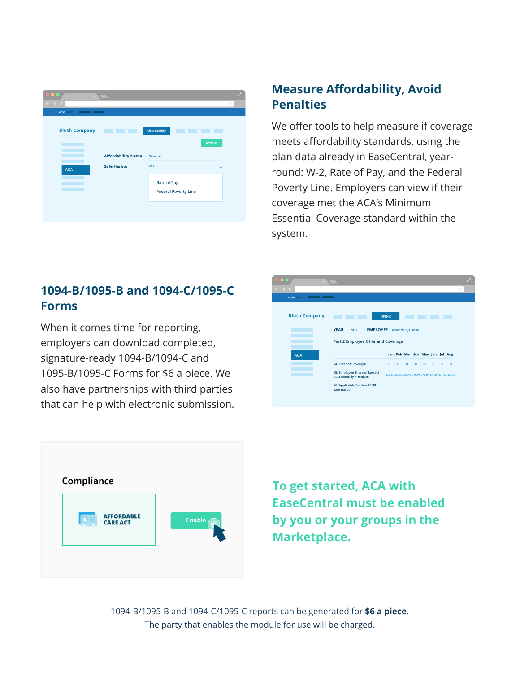| $\boldsymbol{\times}$<br>$\leftarrow$ $\rightarrow$ C |                                        |                                                            |                | ☆ |
|-------------------------------------------------------|----------------------------------------|------------------------------------------------------------|----------------|---|
| ease central<br>$\blacksquare$ $\blacksquare$         |                                        |                                                            |                |   |
| <b>Bluth Company</b>                                  | n.<br>. .<br><b>Affordability Name</b> | Affordability<br>General                                   | <b>Actions</b> |   |
| <b>ACA</b>                                            | <b>Safe Harbor</b>                     | $W-2$<br><b>Rate of Pay</b><br><b>Federal Poverty Line</b> | $\checkmark$   |   |

#### **Measure Affordability, Avoid Penalties**

We offer tools to help measure if coverage meets affordability standards, using the plan data already in EaseCentral, yearround: W-2, Rate of Pay, and the Federal Poverty Line. Employers can view if their coverage met the ACA's Minimum Essential Coverage standard within the system.

#### **1094-B/1095-B and 1094-C/1095-C Forms**

When it comes time for reporting, employers can download completed, signature-ready 1094-B/1094-C and 1095-B/1095-C Forms for \$6 a piece. We also have partnerships with third parties that can help with electronic submission.





**To get started, ACA with EaseCentral must be enabled by you or your groups in the Marketplace.** 

1094-B/1095-B and 1094-C/1095-C reports can be generated for **\$6 a piece**. The party that enables the module for use will be charged.